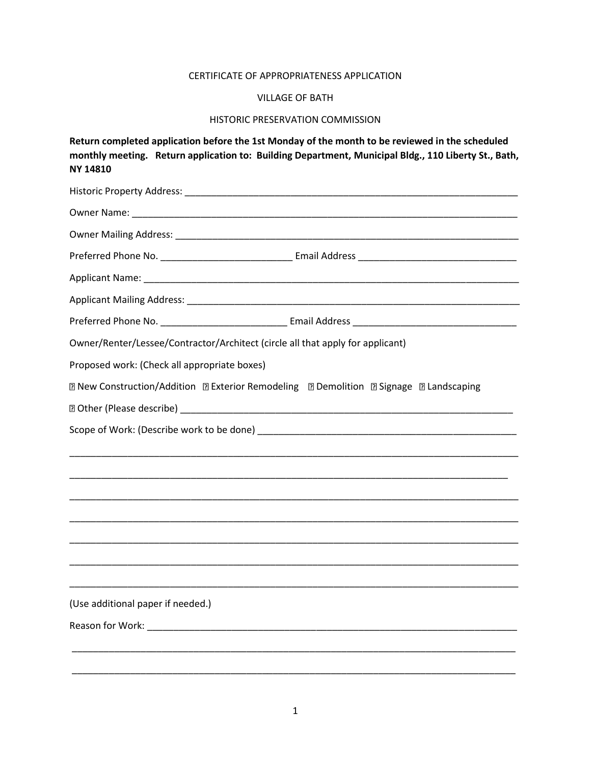## CERTIFICATE OF APPROPRIATENESS APPLICATION

## VILLAGE OF BATH

## HISTORIC PRESERVATION COMMISSION

**Return completed application before the 1st Monday of the month to be reviewed in the scheduled monthly meeting. Return application to: Building Department, Municipal Bldg., 110 Liberty St., Bath, NY 14810**

| Owner/Renter/Lessee/Contractor/Architect (circle all that apply for applicant)         |
|----------------------------------------------------------------------------------------|
| Proposed work: (Check all appropriate boxes)                                           |
| 2 New Construction/Addition 2 Exterior Remodeling 2 Demolition 2 Signage 2 Landscaping |
|                                                                                        |
|                                                                                        |
|                                                                                        |
|                                                                                        |
|                                                                                        |
|                                                                                        |
|                                                                                        |
|                                                                                        |
|                                                                                        |
| (Use additional paper if needed.)                                                      |
|                                                                                        |
|                                                                                        |
|                                                                                        |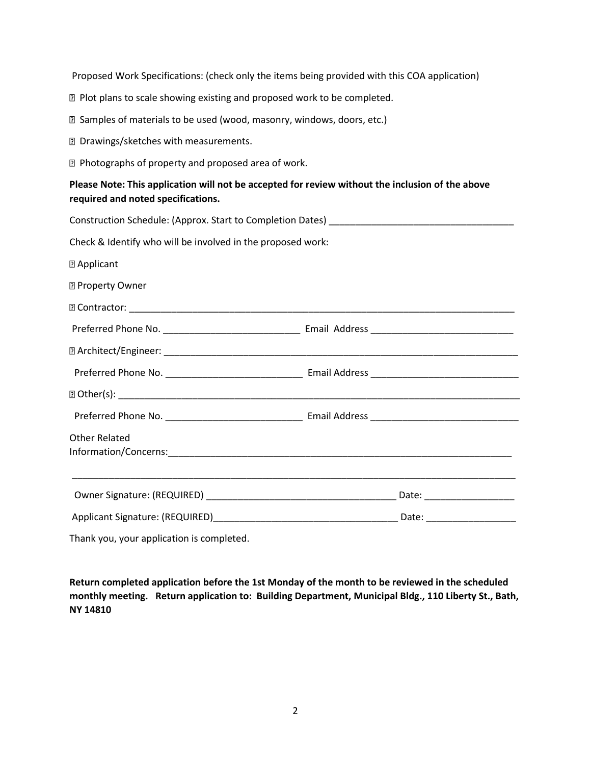Proposed Work Specifications: (check only the items being provided with this COA application)

- **Plot plans to scale showing existing and proposed work to be completed.**
- Samples of materials to be used (wood, masonry, windows, doors, etc.)
- Drawings/sketches with measurements.
- **Photographs of property and proposed area of work.**

| Please Note: This application will not be accepted for review without the inclusion of the above |
|--------------------------------------------------------------------------------------------------|
| required and noted specifications.                                                               |
| Construction Cahodula: (Approv. Ctart to Completion Datas)                                       |

| Check & Identify who will be involved in the proposed work: |                                                                                  |  |  |  |
|-------------------------------------------------------------|----------------------------------------------------------------------------------|--|--|--|
| <b>2 Applicant</b>                                          |                                                                                  |  |  |  |
| <b>2 Property Owner</b>                                     |                                                                                  |  |  |  |
|                                                             |                                                                                  |  |  |  |
|                                                             |                                                                                  |  |  |  |
|                                                             |                                                                                  |  |  |  |
|                                                             |                                                                                  |  |  |  |
|                                                             |                                                                                  |  |  |  |
|                                                             |                                                                                  |  |  |  |
| <b>Other Related</b>                                        |                                                                                  |  |  |  |
|                                                             |                                                                                  |  |  |  |
|                                                             | ,我们也不能会在这里,我们的人们就会在这里,我们也不能会在这里,我们也不能会在这里,我们也不能会在这里,我们也不能会在这里,我们也不能会不能会不能会。""我们, |  |  |  |
|                                                             |                                                                                  |  |  |  |
| Thank you, your application is completed.                   |                                                                                  |  |  |  |

**Return completed application before the 1st Monday of the month to be reviewed in the scheduled monthly meeting. Return application to: Building Department, Municipal Bldg., 110 Liberty St., Bath, NY 14810**